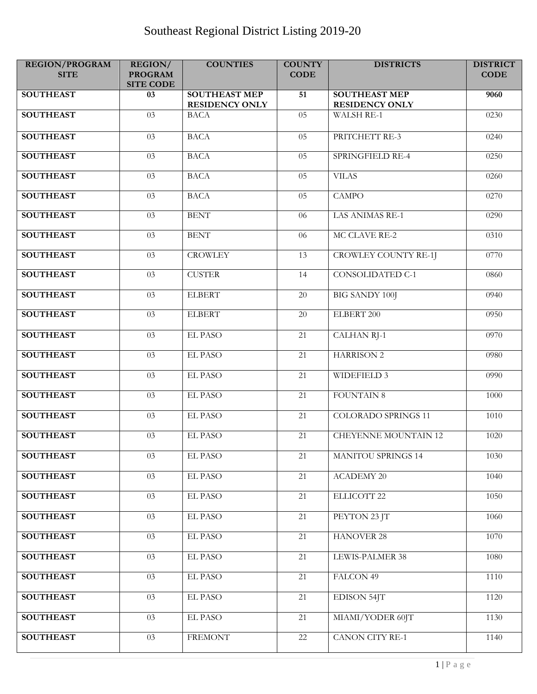| <b>REGION/PROGRAM</b><br><b>SITE</b> | <b>REGION/</b><br><b>PROGRAM</b><br><b>SITE CODE</b> | <b>COUNTIES</b>                               | <b>COUNTY</b><br><b>CODE</b> | <b>DISTRICTS</b>                              | <b>DISTRICT</b><br><b>CODE</b> |
|--------------------------------------|------------------------------------------------------|-----------------------------------------------|------------------------------|-----------------------------------------------|--------------------------------|
| <b>SOUTHEAST</b>                     | 03                                                   | <b>SOUTHEAST MEP</b><br><b>RESIDENCY ONLY</b> | 51                           | <b>SOUTHEAST MEP</b><br><b>RESIDENCY ONLY</b> | 9060                           |
| <b>SOUTHEAST</b>                     | $\overline{03}$                                      | <b>BACA</b>                                   | $\overline{05}$              | <b>WALSH RE-1</b>                             | 0230                           |
| <b>SOUTHEAST</b>                     | $\overline{03}$                                      | <b>BACA</b>                                   | 05                           | PRITCHETT RE-3                                | 0240                           |
| <b>SOUTHEAST</b>                     | $\overline{03}$                                      | <b>BACA</b>                                   | 05                           | SPRINGFIELD RE-4                              | 0250                           |
| <b>SOUTHEAST</b>                     | $\overline{03}$                                      | <b>BACA</b>                                   | 05                           | <b>VILAS</b>                                  | 0260                           |
| <b>SOUTHEAST</b>                     | 03                                                   | <b>BACA</b>                                   | 05                           | <b>CAMPO</b>                                  | 0270                           |
| <b>SOUTHEAST</b>                     | $\overline{03}$                                      | <b>BENT</b>                                   | 06                           | <b>LAS ANIMAS RE-1</b>                        | 0290                           |
| <b>SOUTHEAST</b>                     | $\overline{03}$                                      | <b>BENT</b>                                   | 06                           | MC CLAVE RE-2                                 | 0310                           |
| <b>SOUTHEAST</b>                     | $\overline{03}$                                      | <b>CROWLEY</b>                                | 13                           | <b>CROWLEY COUNTY RE-1J</b>                   | 0770                           |
| <b>SOUTHEAST</b>                     | 03                                                   | <b>CUSTER</b>                                 | 14                           | <b>CONSOLIDATED C-1</b>                       | 0860                           |
| <b>SOUTHEAST</b>                     | 03                                                   | <b>ELBERT</b>                                 | 20                           | <b>BIG SANDY 100J</b>                         | 0940                           |
| <b>SOUTHEAST</b>                     | $\overline{03}$                                      | <b>ELBERT</b>                                 | 20                           | ELBERT 200                                    | 0950                           |
| <b>SOUTHEAST</b>                     | 03                                                   | <b>EL PASO</b>                                | 21                           | <b>CALHAN RJ-1</b>                            | 0970                           |
| <b>SOUTHEAST</b>                     | $\overline{03}$                                      | <b>EL PASO</b>                                | $\overline{21}$              | <b>HARRISON 2</b>                             | 0980                           |
| <b>SOUTHEAST</b>                     | 03                                                   | <b>EL PASO</b>                                | 21                           | <b>WIDEFIELD 3</b>                            | 0990                           |
| <b>SOUTHEAST</b>                     | 03                                                   | <b>EL PASO</b>                                | 21                           | <b>FOUNTAIN 8</b>                             | 1000                           |
| <b>SOUTHEAST</b>                     | 03                                                   | <b>EL PASO</b>                                | 21                           | <b>COLORADO SPRINGS 11</b>                    | 1010                           |
| <b>SOUTHEAST</b>                     | 03                                                   | <b>EL PASO</b>                                | 21                           | <b>CHEYENNE MOUNTAIN 12</b>                   | 1020                           |
| <b>SOUTHEAST</b>                     | 03                                                   | EL PASO                                       | 21                           | <b>MANITOU SPRINGS 14</b>                     | 1030                           |
| <b>SOUTHEAST</b>                     | $\overline{03}$                                      | <b>EL PASO</b>                                | $\overline{21}$              | <b>ACADEMY 20</b>                             | 1040                           |
| <b>SOUTHEAST</b>                     | 03                                                   | <b>EL PASO</b>                                | 21                           | ELLICOTT 22                                   | 1050                           |
| <b>SOUTHEAST</b>                     | 03                                                   | EL PASO                                       | 21                           | PEYTON 23 JT                                  | 1060                           |
| <b>SOUTHEAST</b>                     | $\overline{03}$                                      | EL PASO                                       | $\overline{21}$              | <b>HANOVER 28</b>                             | 1070                           |
| <b>SOUTHEAST</b>                     | $\overline{03}$                                      | <b>EL PASO</b>                                | 21                           | <b>LEWIS-PALMER 38</b>                        | 1080                           |
| <b>SOUTHEAST</b>                     | $\overline{03}$                                      | <b>EL PASO</b>                                | 21                           | FALCON 49                                     | 1110                           |
| <b>SOUTHEAST</b>                     | $\overline{03}$                                      | <b>EL PASO</b>                                | $\overline{21}$              | <b>EDISON 54JT</b>                            | 1120                           |
| <b>SOUTHEAST</b>                     | 03                                                   | EL PASO                                       | 21                           | MIAMI/YODER 60JT                              | 1130                           |
| <b>SOUTHEAST</b>                     | 03                                                   | <b>FREMONT</b>                                | 22                           | <b>CANON CITY RE-1</b>                        | 1140                           |